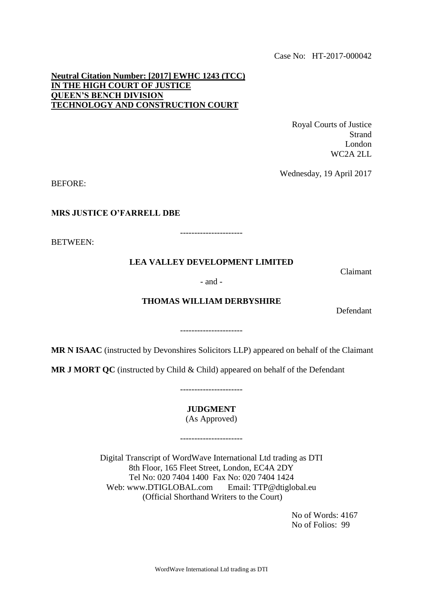Case No: HT-2017-000042

## **Neutral Citation Number: [2017] EWHC 1243 (TCC) IN THE HIGH COURT OF JUSTICE QUEEN'S BENCH DIVISION TECHNOLOGY AND CONSTRUCTION COURT**

Royal Courts of Justice Strand London WC2A 2LL

Wednesday, 19 April 2017

BEFORE:

### **MRS JUSTICE O'FARRELL DBE**

----------------------

BETWEEN:

# **LEA VALLEY DEVELOPMENT LIMITED**

Claimant

#### - and -

## **THOMAS WILLIAM DERBYSHIRE**

Defendant

----------------------

**MR N ISAAC** (instructed by Devonshires Solicitors LLP) appeared on behalf of the Claimant

**MR J MORT QC** (instructed by Child & Child) appeared on behalf of the Defendant

**JUDGMENT**

----------------------

(As Approved)

----------------------

Digital Transcript of WordWave International Ltd trading as DTI 8th Floor, 165 Fleet Street, London, EC4A 2DY Tel No: 020 7404 1400 Fax No: 020 7404 1424 Web: www.DTIGLOBAL.com Email: TTP@dtiglobal.eu (Official Shorthand Writers to the Court)

> No of Words: 4167 No of Folios: 99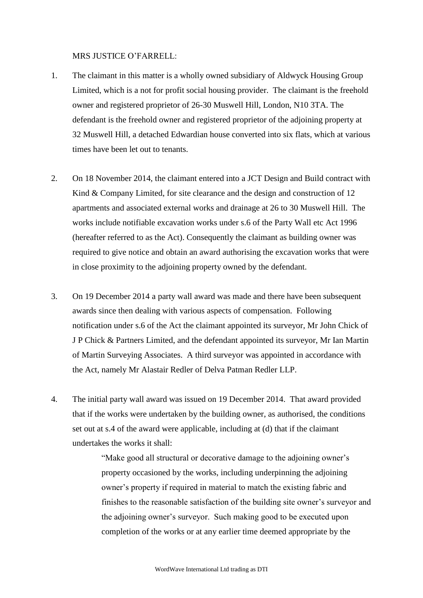## MRS JUSTICE O'FARRELL:

- 1. The claimant in this matter is a wholly owned subsidiary of Aldwyck Housing Group Limited, which is a not for profit social housing provider. The claimant is the freehold owner and registered proprietor of 26-30 Muswell Hill, London, N10 3TA. The defendant is the freehold owner and registered proprietor of the adjoining property at 32 Muswell Hill, a detached Edwardian house converted into six flats, which at various times have been let out to tenants.
- 2. On 18 November 2014, the claimant entered into a JCT Design and Build contract with Kind & Company Limited, for site clearance and the design and construction of 12 apartments and associated external works and drainage at 26 to 30 Muswell Hill. The works include notifiable excavation works under s.6 of the Party Wall etc Act 1996 (hereafter referred to as the Act). Consequently the claimant as building owner was required to give notice and obtain an award authorising the excavation works that were in close proximity to the adjoining property owned by the defendant.
- 3. On 19 December 2014 a party wall award was made and there have been subsequent awards since then dealing with various aspects of compensation. Following notification under s.6 of the Act the claimant appointed its surveyor, Mr John Chick of J P Chick & Partners Limited, and the defendant appointed its surveyor, Mr Ian Martin of Martin Surveying Associates. A third surveyor was appointed in accordance with the Act, namely Mr Alastair Redler of Delva Patman Redler LLP.
- 4. The initial party wall award was issued on 19 December 2014. That award provided that if the works were undertaken by the building owner, as authorised, the conditions set out at s.4 of the award were applicable, including at (d) that if the claimant undertakes the works it shall:

"Make good all structural or decorative damage to the adjoining owner's property occasioned by the works, including underpinning the adjoining owner's property if required in material to match the existing fabric and finishes to the reasonable satisfaction of the building site owner's surveyor and the adjoining owner's surveyor. Such making good to be executed upon completion of the works or at any earlier time deemed appropriate by the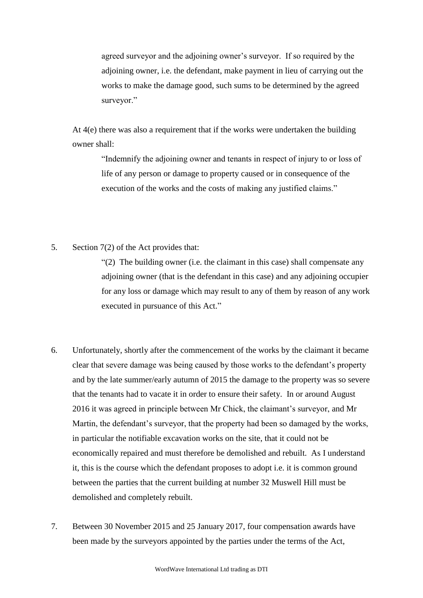agreed surveyor and the adjoining owner's surveyor. If so required by the adjoining owner, i.e. the defendant, make payment in lieu of carrying out the works to make the damage good, such sums to be determined by the agreed surveyor."

At  $4(e)$  there was also a requirement that if the works were undertaken the building owner shall:

> "Indemnify the adjoining owner and tenants in respect of injury to or loss of life of any person or damage to property caused or in consequence of the execution of the works and the costs of making any justified claims."

5. Section 7(2) of the Act provides that:

"(2) The building owner (i.e. the claimant in this case) shall compensate any adjoining owner (that is the defendant in this case) and any adjoining occupier for any loss or damage which may result to any of them by reason of any work executed in pursuance of this Act."

- 6. Unfortunately, shortly after the commencement of the works by the claimant it became clear that severe damage was being caused by those works to the defendant's property and by the late summer/early autumn of 2015 the damage to the property was so severe that the tenants had to vacate it in order to ensure their safety. In or around August 2016 it was agreed in principle between Mr Chick, the claimant's surveyor, and Mr Martin, the defendant's surveyor, that the property had been so damaged by the works, in particular the notifiable excavation works on the site, that it could not be economically repaired and must therefore be demolished and rebuilt. As I understand it, this is the course which the defendant proposes to adopt i.e. it is common ground between the parties that the current building at number 32 Muswell Hill must be demolished and completely rebuilt.
- 7. Between 30 November 2015 and 25 January 2017, four compensation awards have been made by the surveyors appointed by the parties under the terms of the Act,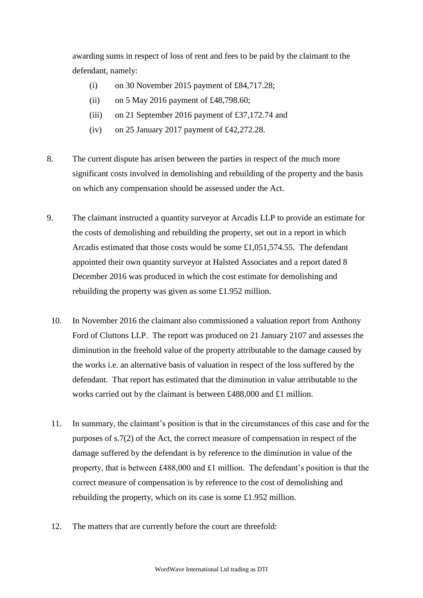awarding sums in respect of loss of rent and fees to be paid by the claimant to the defendant, namely:

- (i) on 30 November 2015 payment of  $£84,717.28;$
- (ii) on 5 May 2016 payment of £48,798.60;
- (iii) on 21 September 2016 payment of £37,172.74 and
- (iv) on 25 January 2017 payment of £42,272.28.
- 8. The current dispute has arisen between the parties in respect of the much more significant costs involved in demolishing and rebuilding of the property and the basis on which any compensation should be assessed under the Act.
- 9. The claimant instructed a quantity surveyor at Arcadis LLP to provide an estimate for the costs of demolishing and rebuilding the property, set out in a report in which Arcadis estimated that those costs would be some £1,051,574.55. The defendant appointed their own quantity surveyor at Halsted Associates and a report dated 8 December 2016 was produced in which the cost estimate for demolishing and rebuilding the property was given as some £1.952 million.
	- 10. In November 2016 the claimant also commissioned a valuation report from Anthony Ford of Cluttons LLP. The report was produced on 21 January 2107 and assesses the diminution in the freehold value of the property attributable to the damage caused by the works i.e. an alternative basis of valuation in respect of the loss suffered by the defendant. That report has estimated that the diminution in value attributable to the works carried out by the claimant is between £488,000 and £1 million.
	- 11. In summary, the claimant's position is that in the circumstances of this case and for the purposes of s.7(2) of the Act, the correct measure of compensation in respect of the damage suffered by the defendant is by reference to the diminution in value of the property, that is between £488,000 and £1 million. The defendant's position is that the correct measure of compensation is by reference to the cost of demolishing and rebuilding the property, which on its case is some £1.952 million.
	- 12. The matters that are currently before the court are threefold: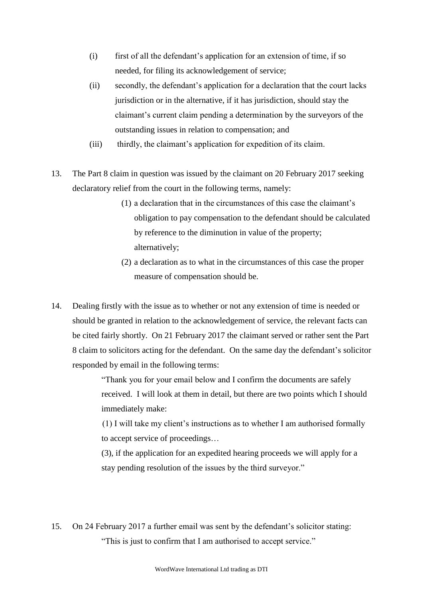- (i) first of all the defendant's application for an extension of time, if so needed, for filing its acknowledgement of service;
- (ii) secondly, the defendant's application for a declaration that the court lacks jurisdiction or in the alternative, if it has jurisdiction, should stay the claimant's current claim pending a determination by the surveyors of the outstanding issues in relation to compensation; and
- (iii) thirdly, the claimant's application for expedition of its claim.
- 13. The Part 8 claim in question was issued by the claimant on 20 February 2017 seeking declaratory relief from the court in the following terms, namely:
	- (1) a declaration that in the circumstances of this case the claimant's obligation to pay compensation to the defendant should be calculated by reference to the diminution in value of the property; alternatively;
	- (2) a declaration as to what in the circumstances of this case the proper measure of compensation should be.
- 14. Dealing firstly with the issue as to whether or not any extension of time is needed or should be granted in relation to the acknowledgement of service, the relevant facts can be cited fairly shortly. On 21 February 2017 the claimant served or rather sent the Part 8 claim to solicitors acting for the defendant. On the same day the defendant's solicitor responded by email in the following terms:

"Thank you for your email below and I confirm the documents are safely received. I will look at them in detail, but there are two points which I should immediately make:

(1) I will take my client's instructions as to whether I am authorised formally to accept service of proceedings…

(3), if the application for an expedited hearing proceeds we will apply for a stay pending resolution of the issues by the third surveyor."

15. On 24 February 2017 a further email was sent by the defendant's solicitor stating: "This is just to confirm that I am authorised to accept service."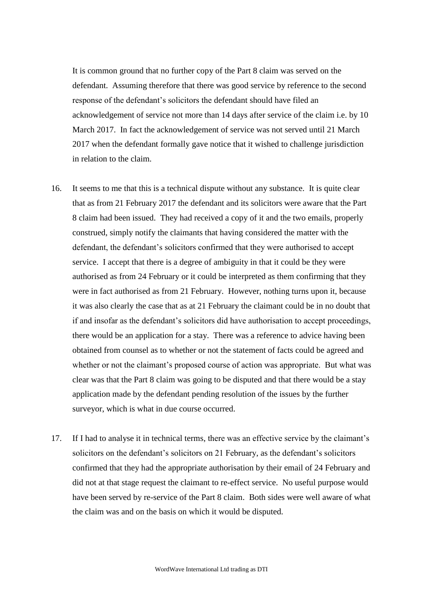It is common ground that no further copy of the Part 8 claim was served on the defendant. Assuming therefore that there was good service by reference to the second response of the defendant's solicitors the defendant should have filed an acknowledgement of service not more than 14 days after service of the claim i.e. by 10 March 2017. In fact the acknowledgement of service was not served until 21 March 2017 when the defendant formally gave notice that it wished to challenge jurisdiction in relation to the claim.

- 16. It seems to me that this is a technical dispute without any substance. It is quite clear that as from 21 February 2017 the defendant and its solicitors were aware that the Part 8 claim had been issued. They had received a copy of it and the two emails, properly construed, simply notify the claimants that having considered the matter with the defendant, the defendant's solicitors confirmed that they were authorised to accept service. I accept that there is a degree of ambiguity in that it could be they were authorised as from 24 February or it could be interpreted as them confirming that they were in fact authorised as from 21 February. However, nothing turns upon it, because it was also clearly the case that as at 21 February the claimant could be in no doubt that if and insofar as the defendant's solicitors did have authorisation to accept proceedings, there would be an application for a stay. There was a reference to advice having been obtained from counsel as to whether or not the statement of facts could be agreed and whether or not the claimant's proposed course of action was appropriate. But what was clear was that the Part 8 claim was going to be disputed and that there would be a stay application made by the defendant pending resolution of the issues by the further surveyor, which is what in due course occurred.
- 17. If I had to analyse it in technical terms, there was an effective service by the claimant's solicitors on the defendant's solicitors on 21 February, as the defendant's solicitors confirmed that they had the appropriate authorisation by their email of 24 February and did not at that stage request the claimant to re-effect service. No useful purpose would have been served by re-service of the Part 8 claim. Both sides were well aware of what the claim was and on the basis on which it would be disputed.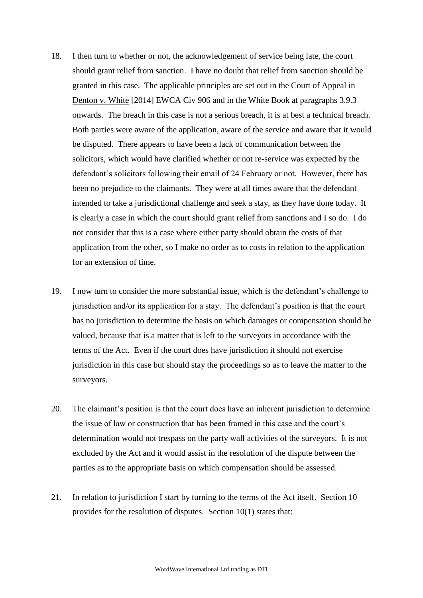- 18. I then turn to whether or not, the acknowledgement of service being late, the court should grant relief from sanction. I have no doubt that relief from sanction should be granted in this case. The applicable principles are set out in the Court of Appeal in Denton v. White [2014] EWCA Civ 906 and in the White Book at paragraphs 3.9.3 onwards. The breach in this case is not a serious breach, it is at best a technical breach. Both parties were aware of the application, aware of the service and aware that it would be disputed. There appears to have been a lack of communication between the solicitors, which would have clarified whether or not re-service was expected by the defendant's solicitors following their email of 24 February or not. However, there has been no prejudice to the claimants. They were at all times aware that the defendant intended to take a jurisdictional challenge and seek a stay, as they have done today. It is clearly a case in which the court should grant relief from sanctions and I so do. I do not consider that this is a case where either party should obtain the costs of that application from the other, so I make no order as to costs in relation to the application for an extension of time.
- 19. I now turn to consider the more substantial issue, which is the defendant's challenge to jurisdiction and/or its application for a stay. The defendant's position is that the court has no jurisdiction to determine the basis on which damages or compensation should be valued, because that is a matter that is left to the surveyors in accordance with the terms of the Act. Even if the court does have jurisdiction it should not exercise jurisdiction in this case but should stay the proceedings so as to leave the matter to the surveyors.
- 20. The claimant's position is that the court does have an inherent jurisdiction to determine the issue of law or construction that has been framed in this case and the court's determination would not trespass on the party wall activities of the surveyors. It is not excluded by the Act and it would assist in the resolution of the dispute between the parties as to the appropriate basis on which compensation should be assessed.
- 21. In relation to jurisdiction I start by turning to the terms of the Act itself. Section 10 provides for the resolution of disputes. Section 10(1) states that: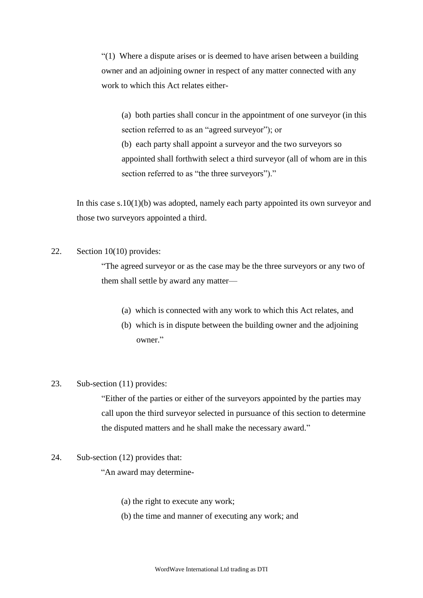"(1) Where a dispute arises or is deemed to have arisen between a building owner and an adjoining owner in respect of any matter connected with any work to which this Act relates either-

(a) both parties shall concur in the appointment of one surveyor (in this section referred to as an "agreed surveyor"); or (b) each party shall appoint a surveyor and the two surveyors so appointed shall forthwith select a third surveyor (all of whom are in this section referred to as "the three surveyors")."

In this case s.10(1)(b) was adopted, namely each party appointed its own surveyor and those two surveyors appointed a third.

### 22. Section 10(10) provides:

"The agreed surveyor or as the case may be the three surveyors or any two of them shall settle by award any matter—

- (a) which is connected with any work to which this Act relates, and
- (b) which is in dispute between the building owner and the adjoining owner."

## 23. Sub-section (11) provides:

"Either of the parties or either of the surveyors appointed by the parties may call upon the third surveyor selected in pursuance of this section to determine the disputed matters and he shall make the necessary award."

24. Sub-section (12) provides that:

"An award may determine-

- (a) the right to execute any work;
- (b) the time and manner of executing any work; and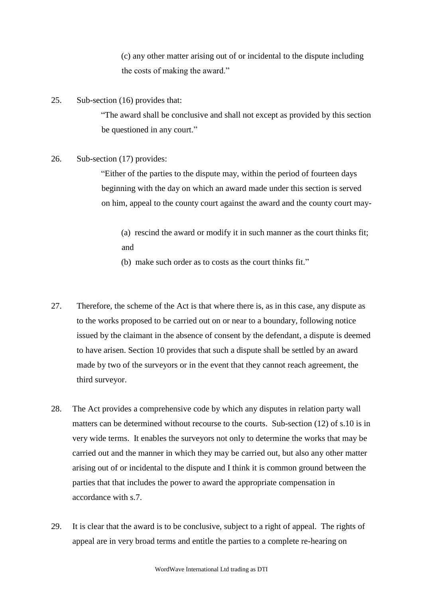(c) any other matter arising out of or incidental to the dispute including the costs of making the award."

25. Sub-section (16) provides that:

"The award shall be conclusive and shall not except as provided by this section be questioned in any court."

26. Sub-section (17) provides:

"Either of the parties to the dispute may, within the period of fourteen days beginning with the day on which an award made under this section is served on him, appeal to the county court against the award and the county court may-

(a) rescind the award or modify it in such manner as the court thinks fit; and

(b) make such order as to costs as the court thinks fit."

- 27. Therefore, the scheme of the Act is that where there is, as in this case, any dispute as to the works proposed to be carried out on or near to a boundary, following notice issued by the claimant in the absence of consent by the defendant, a dispute is deemed to have arisen. Section 10 provides that such a dispute shall be settled by an award made by two of the surveyors or in the event that they cannot reach agreement, the third surveyor.
- 28. The Act provides a comprehensive code by which any disputes in relation party wall matters can be determined without recourse to the courts. Sub-section (12) of s.10 is in very wide terms. It enables the surveyors not only to determine the works that may be carried out and the manner in which they may be carried out, but also any other matter arising out of or incidental to the dispute and I think it is common ground between the parties that that includes the power to award the appropriate compensation in accordance with s.7.
- 29. It is clear that the award is to be conclusive, subject to a right of appeal. The rights of appeal are in very broad terms and entitle the parties to a complete re-hearing on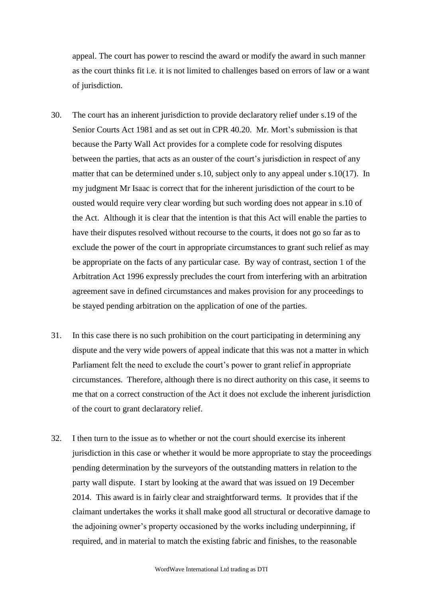appeal. The court has power to rescind the award or modify the award in such manner as the court thinks fit i.e. it is not limited to challenges based on errors of law or a want of jurisdiction.

- 30. The court has an inherent jurisdiction to provide declaratory relief under s.19 of the Senior Courts Act 1981 and as set out in CPR 40.20. Mr. Mort's submission is that because the Party Wall Act provides for a complete code for resolving disputes between the parties, that acts as an ouster of the court's jurisdiction in respect of any matter that can be determined under s.10, subject only to any appeal under s.10(17). In my judgment Mr Isaac is correct that for the inherent jurisdiction of the court to be ousted would require very clear wording but such wording does not appear in s.10 of the Act. Although it is clear that the intention is that this Act will enable the parties to have their disputes resolved without recourse to the courts, it does not go so far as to exclude the power of the court in appropriate circumstances to grant such relief as may be appropriate on the facts of any particular case. By way of contrast, section 1 of the Arbitration Act 1996 expressly precludes the court from interfering with an arbitration agreement save in defined circumstances and makes provision for any proceedings to be stayed pending arbitration on the application of one of the parties.
- 31. In this case there is no such prohibition on the court participating in determining any dispute and the very wide powers of appeal indicate that this was not a matter in which Parliament felt the need to exclude the court's power to grant relief in appropriate circumstances. Therefore, although there is no direct authority on this case, it seems to me that on a correct construction of the Act it does not exclude the inherent jurisdiction of the court to grant declaratory relief.
- 32. I then turn to the issue as to whether or not the court should exercise its inherent jurisdiction in this case or whether it would be more appropriate to stay the proceedings pending determination by the surveyors of the outstanding matters in relation to the party wall dispute. I start by looking at the award that was issued on 19 December 2014. This award is in fairly clear and straightforward terms. It provides that if the claimant undertakes the works it shall make good all structural or decorative damage to the adjoining owner's property occasioned by the works including underpinning, if required, and in material to match the existing fabric and finishes, to the reasonable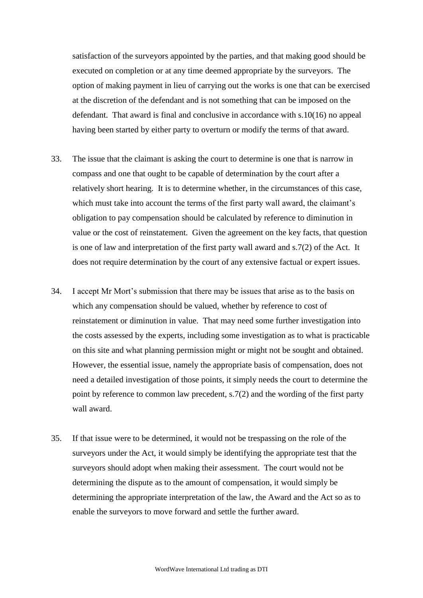satisfaction of the surveyors appointed by the parties, and that making good should be executed on completion or at any time deemed appropriate by the surveyors. The option of making payment in lieu of carrying out the works is one that can be exercised at the discretion of the defendant and is not something that can be imposed on the defendant. That award is final and conclusive in accordance with s.10(16) no appeal having been started by either party to overturn or modify the terms of that award.

- 33. The issue that the claimant is asking the court to determine is one that is narrow in compass and one that ought to be capable of determination by the court after a relatively short hearing. It is to determine whether, in the circumstances of this case, which must take into account the terms of the first party wall award, the claimant's obligation to pay compensation should be calculated by reference to diminution in value or the cost of reinstatement. Given the agreement on the key facts, that question is one of law and interpretation of the first party wall award and s.7(2) of the Act. It does not require determination by the court of any extensive factual or expert issues.
- 34. I accept Mr Mort's submission that there may be issues that arise as to the basis on which any compensation should be valued, whether by reference to cost of reinstatement or diminution in value. That may need some further investigation into the costs assessed by the experts, including some investigation as to what is practicable on this site and what planning permission might or might not be sought and obtained. However, the essential issue, namely the appropriate basis of compensation, does not need a detailed investigation of those points, it simply needs the court to determine the point by reference to common law precedent, s.7(2) and the wording of the first party wall award.
- 35. If that issue were to be determined, it would not be trespassing on the role of the surveyors under the Act, it would simply be identifying the appropriate test that the surveyors should adopt when making their assessment. The court would not be determining the dispute as to the amount of compensation, it would simply be determining the appropriate interpretation of the law, the Award and the Act so as to enable the surveyors to move forward and settle the further award.